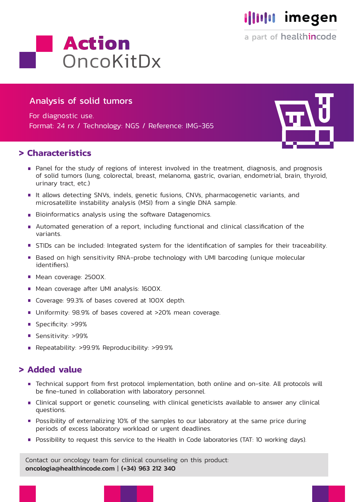

a part of healthincode



## Analysis of solid tumors

For diagnostic use. Format: 24 rx / Technology: NGS / Reference: IMG-365

### **> Characteristics**

- 
- Panel for the study of regions of interest involved in the treatment, diagnosis, and prognosis of solid tumors (lung, colorectal, breast, melanoma, gastric, ovarian, endometrial, brain, thyroid, urinary tract, etc.)
- It allows detecting SNVs, indels, genetic fusions, CNVs, pharmacogenetic variants, and microsatellite instability analysis (MSI) from a single DNA sample.
- Bioinformatics analysis using the software Datagenomics.
- Automated generation of a report, including functional and clinical classification of the variants.
- **STIDs can be included: Integrated system for the identification of samples for their traceability.**
- Based on high sensitivity RNA-probe technology with UMI barcoding (unique molecular identifiers).
- **Mean coverage: 2500X.**
- **Mean coverage after UMI analysis: 1600X.**
- Coverage: 99.3% of bases covered at 100X depth.
- **Uniformity: 98.9% of bases covered at >20% mean coverage.**
- Specificity: >99%
- Sensitivity: >99%
- Repeatability: >99.9% Reproducibility: >99.9%

#### **> Added value**

- Technical support from first protocol implementation, both online and on-site. All protocols will be fine-tuned in collaboration with laboratory personnel.
- Clinical support or genetic counseling, with clinical geneticists available to answer any clinical questions.
- Possibility of externalizing 10% of the samples to our laboratory at the same price during periods of excess laboratory workload or urgent deadlines.
- **Possibility to request this service to the Health in Code laboratories (TAT: 10 working days).**

Contact our oncology team for clinical counseling on this product: oncologia@healthincode.com | (+34) 963 212 340